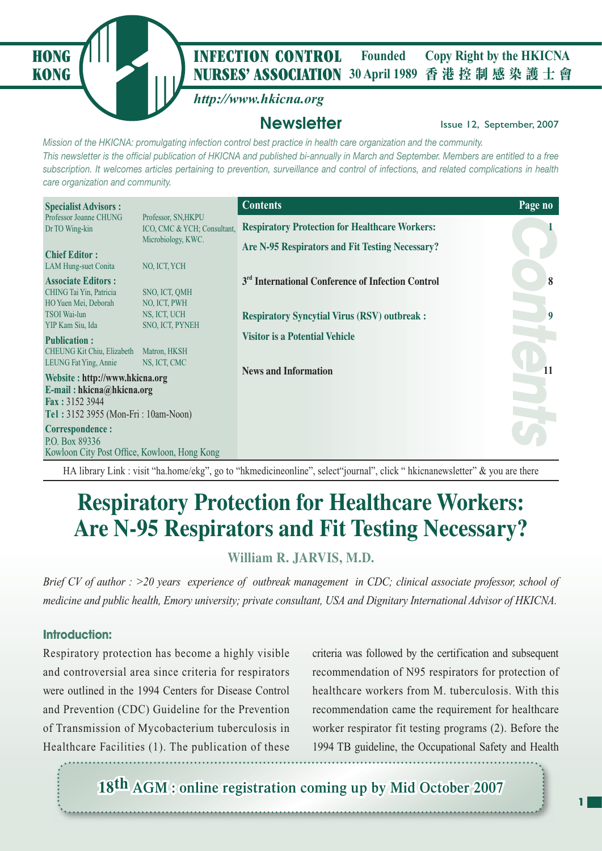

### **NURSES' ASSOCIATION** 30 April 1989 香港控制感染護士會 **HONG** *I* **INFECTION CONTROL** Founded Copy Right by the HKICNA **Founded**

# *http://www.hkicna.org*

# **Newsletter Issue 12, September, 2007**

*Mission of the HKICNA: promulgating infection control best practice in health care organization and the community. This newsletter is the official publication of HKICNA and published bi-annually in March and September. Members are entitled to a free subscription. It welcomes articles pertaining to prevention, surveillance and control of infections, and related complications in health care organization and community.*

| <b>Specialist Advisors:</b>                                                                                          |                                                    | <b>Contents</b>                                               | Page no |
|----------------------------------------------------------------------------------------------------------------------|----------------------------------------------------|---------------------------------------------------------------|---------|
| Professor Joanne CHUNG<br>Dr TO Wing-kin                                                                             | Professor, SN, HKPU<br>ICO, CMC & YCH; Consultant, | <b>Respiratory Protection for Healthcare Workers:</b>         |         |
| <b>Chief Editor:</b>                                                                                                 | Microbiology, KWC.                                 | Are N-95 Respirators and Fit Testing Necessary?               |         |
| <b>LAM Hung-suet Conita</b><br><b>Associate Editors:</b>                                                             | NO, ICT, YCH                                       | 3 <sup>rd</sup> International Conference of Infection Control | 8       |
| CHING Tai Yin, Patricia<br>HO Yuen Mei, Deborah                                                                      | SNO, ICT, QMH<br>NO, ICT, PWH                      |                                                               |         |
| <b>TSOI</b> Wai-lun<br>YIP Kam Siu, Ida                                                                              | NS, ICT, UCH<br><b>SNO, ICT, PYNEH</b>             | <b>Respiratory Syncytial Virus (RSV) outbreak:</b>            | 9       |
| <b>Publication:</b><br>CHEUNG Kit Chiu, Elizabeth<br>LEUNG Fat Ying, Annie                                           | Matron, HKSH<br>NS, ICT, CMC                       | <b>Visitor is a Potential Vehicle</b>                         |         |
| Website: http://www.hkicna.org<br>E-mail: hkicna@hkicna.org<br>Fax: 3152 3944<br>Tel: 3152 3955 (Mon-Fri: 10am-Noon) |                                                    | <b>News and Information</b>                                   |         |
| Correspondence:<br>P.O. Box 89336<br>Kowloon City Post Office, Kowloon, Hong Kong                                    |                                                    |                                                               |         |

HA library Link : visit "ha.home/ekg", go to "hkmedicineonline", select "journal", click " hkicnanewsletter" & vou are there

# **Respiratory Protection for Healthcare Workers: Are N-95 Respirators and Fit Testing Necessary?**

# **William R. JARVIS, M.D.**

*Brief CV of author : >20 years experience of outbreak management in CDC; clinical associate professor, school of medicine and public health, Emory university; private consultant, USA and Dignitary International Advisor of HKICNA.*

## **Introduction:**

Respiratory protection has become a highly visible and controversial area since criteria for respirators were outlined in the 1994 Centers for Disease Control and Prevention (CDC) Guideline for the Prevention of Transmission of Mycobacterium tuberculosis in Healthcare Facilities (1). The publication of these

criteria was followed by the certification and subsequent recommendation of N95 respirators for protection of healthcare workers from M. tuberculosis. With this recommendation came the requirement for healthcare worker respirator fit testing programs (2). Before the 1994 TB guideline, the Occupational Safety and Health

18<sup>th</sup> AGM : online registration coming up by Mid October 2007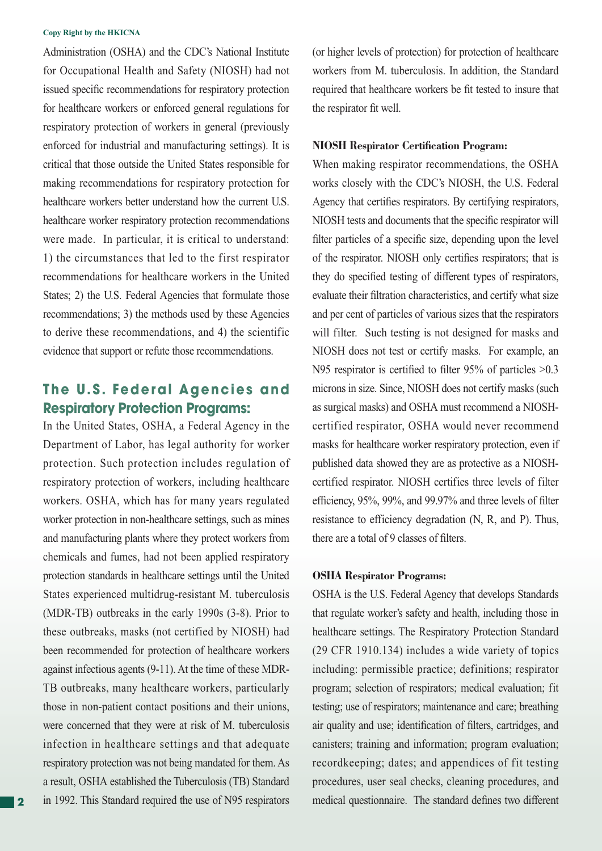Administration (OSHA) and the CDC's National Institute for Occupational Health and Safety (NIOSH) had not issued specific recommendations for respiratory protection for healthcare workers or enforced general regulations for respiratory protection of workers in general (previously enforced for industrial and manufacturing settings). It is critical that those outside the United States responsible for making recommendations for respiratory protection for healthcare workers better understand how the current U.S. healthcare worker respiratory protection recommendations were made. In particular, it is critical to understand: 1) the circumstances that led to the first respirator recommendations for healthcare workers in the United States; 2) the U.S. Federal Agencies that formulate those recommendations; 3) the methods used by these Agencies to derive these recommendations, and 4) the scientific evidence that support or refute those recommendations.

# **The U.S. Federal Agencies and Respiratory Protection Programs:**

In the United States, OSHA, a Federal Agency in the Department of Labor, has legal authority for worker protection. Such protection includes regulation of respiratory protection of workers, including healthcare workers. OSHA, which has for many years regulated worker protection in non-healthcare settings, such as mines and manufacturing plants where they protect workers from chemicals and fumes, had not been applied respiratory protection standards in healthcare settings until the United States experienced multidrug-resistant M. tuberculosis (MDR-TB) outbreaks in the early 1990s (3-8). Prior to these outbreaks, masks (not certified by NIOSH) had been recommended for protection of healthcare workers against infectious agents (9-11). At the time of these MDR-TB outbreaks, many healthcare workers, particularly those in non-patient contact positions and their unions, were concerned that they were at risk of M. tuberculosis infection in healthcare settings and that adequate respiratory protection was not being mandated for them. As a result, OSHA established the Tuberculosis (TB) Standard in 1992. This Standard required the use of N95 respirators (or higher levels of protection) for protection of healthcare workers from M. tuberculosis. In addition, the Standard required that healthcare workers be fit tested to insure that the respirator fit well.

### **NIOSH Respirator Certification Program:**

When making respirator recommendations, the OSHA works closely with the CDC's NIOSH, the U.S. Federal Agency that certifies respirators. By certifying respirators, NIOSH tests and documents that the specific respirator will filter particles of a specific size, depending upon the level of the respirator. NIOSH only certifies respirators; that is they do specified testing of different types of respirators, evaluate their filtration characteristics, and certify what size and per cent of particles of various sizes that the respirators will filter. Such testing is not designed for masks and NIOSH does not test or certify masks. For example, an N95 respirator is certified to filter 95% of particles  $>0.3$ microns in size. Since, NIOSH does not certify masks (such as surgical masks) and OSHA must recommend a NIOSHcertified respirator, OSHA would never recommend masks for healthcare worker respiratory protection, even if published data showed they are as protective as a NIOSHcertified respirator. NIOSH certifies three levels of filter efficiency, 95%, 99%, and 99.97% and three levels of filter resistance to efficiency degradation (N, R, and P). Thus, there are a total of 9 classes of filters.

### **OSHA Respirator Programs:**

OSHA is the U.S. Federal Agency that develops Standards that regulate worker's safety and health, including those in healthcare settings. The Respiratory Protection Standard (29 CFR 1910.134) includes a wide variety of topics including: permissible practice; definitions; respirator program; selection of respirators; medical evaluation; fit testing; use of respirators; maintenance and care; breathing air quality and use; identification of filters, cartridges, and canisters; training and information; program evaluation; recordkeeping; dates; and appendices of fit testing procedures, user seal checks, cleaning procedures, and medical questionnaire. The standard defines two different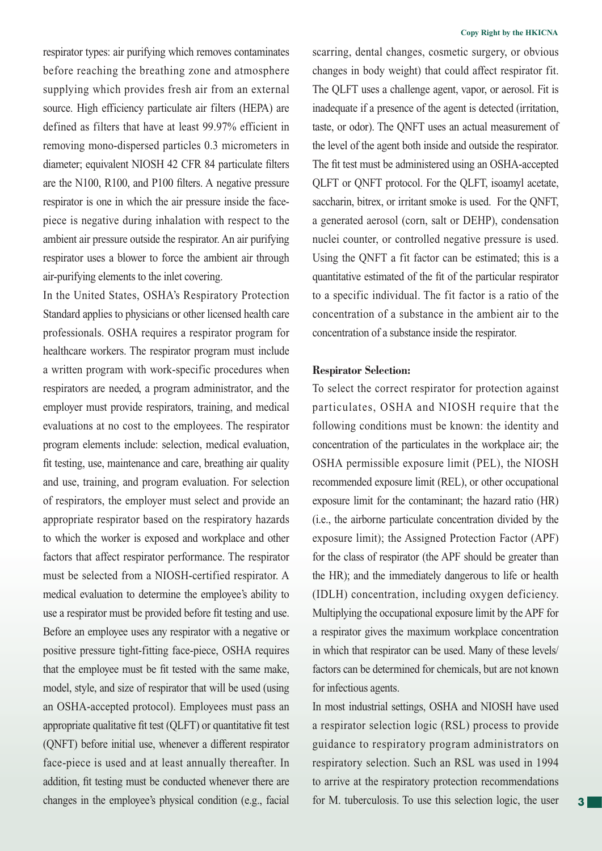respirator types: air purifying which removes contaminates before reaching the breathing zone and atmosphere supplying which provides fresh air from an external source. High efficiency particulate air filters (HEPA) are defined as filters that have at least 99.97% efficient in removing mono-dispersed particles 0.3 micrometers in diameter; equivalent NIOSH 42 CFR 84 particulate filters are the  $N100$ ,  $R100$ , and  $P100$  filters. A negative pressure respirator is one in which the air pressure inside the facepiece is negative during inhalation with respect to the ambient air pressure outside the respirator. An air purifying respirator uses a blower to force the ambient air through air-purifying elements to the inlet covering.

In the United States, OSHA's Respiratory Protection Standard applies to physicians or other licensed health care professionals. OSHA requires a respirator program for healthcare workers. The respirator program must include a written program with work-specific procedures when respirators are needed, a program administrator, and the employer must provide respirators, training, and medical evaluations at no cost to the employees. The respirator program elements include: selection, medical evaluation, fit testing, use, maintenance and care, breathing air quality and use, training, and program evaluation. For selection of respirators, the employer must select and provide an appropriate respirator based on the respiratory hazards to which the worker is exposed and workplace and other factors that affect respirator performance. The respirator must be selected from a NIOSH-certified respirator. A medical evaluation to determine the employee's ability to use a respirator must be provided before fit testing and use. Before an employee uses any respirator with a negative or positive pressure tight-fitting face-piece, OSHA requires that the employee must be fit tested with the same make, model, style, and size of respirator that will be used (using an OSHA-accepted protocol). Employees must pass an appropriate qualitative fit test (QLFT) or quantitative fit test (QNFT) before initial use, whenever a different respirator face-piece is used and at least annually thereafter. In addition, fit testing must be conducted whenever there are changes in the employee's physical condition (e.g., facial

### **Copy Right by the HKICNA**

scarring, dental changes, cosmetic surgery, or obvious changes in body weight) that could affect respirator fit. The QLFT uses a challenge agent, vapor, or aerosol. Fit is inadequate if a presence of the agent is detected (irritation, taste, or odor). The QNFT uses an actual measurement of the level of the agent both inside and outside the respirator. The fit test must be administered using an OSHA-accepted QLFT or QNFT protocol. For the QLFT, isoamyl acetate, saccharin, bitrex, or irritant smoke is used. For the QNFT, a generated aerosol (corn, salt or DEHP), condensation nuclei counter, or controlled negative pressure is used. Using the QNFT a fit factor can be estimated; this is a quantitative estimated of the fit of the particular respirator to a specific individual. The fit factor is a ratio of the concentration of a substance in the ambient air to the concentration of a substance inside the respirator.

### **Respirator Selection:**

To select the correct respirator for protection against particulates, OSHA and NIOSH require that the following conditions must be known: the identity and concentration of the particulates in the workplace air; the OSHA permissible exposure limit (PEL), the NIOSH recommended exposure limit (REL), or other occupational exposure limit for the contaminant; the hazard ratio (HR) (i.e., the airborne particulate concentration divided by the exposure limit); the Assigned Protection Factor (APF) for the class of respirator (the APF should be greater than the HR); and the immediately dangerous to life or health (IDLH) concentration, including oxygen deficiency. Multiplying the occupational exposure limit by the APF for a respirator gives the maximum workplace concentration in which that respirator can be used. Many of these levels/ factors can be determined for chemicals, but are not known for infectious agents.

In most industrial settings, OSHA and NIOSH have used a respirator selection logic (RSL) process to provide guidance to respiratory program administrators on respiratory selection. Such an RSL was used in 1994 to arrive at the respiratory protection recommendations for M. tuberculosis. To use this selection logic, the user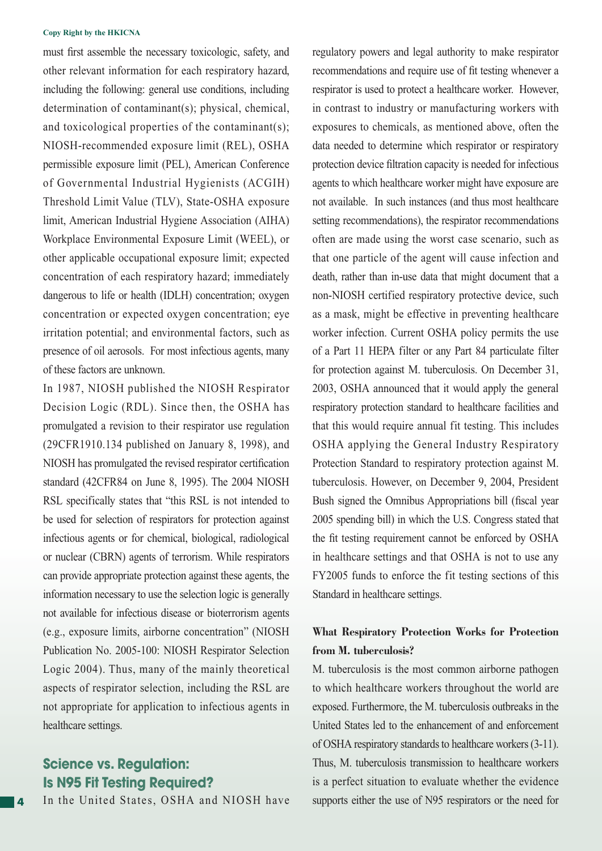must first assemble the necessary toxicologic, safety, and other relevant information for each respiratory hazard, including the following: general use conditions, including determination of contaminant(s); physical, chemical, and toxicological properties of the contaminant(s); NIOSH-recommended exposure limit (REL), OSHA permissible exposure limit (PEL), American Conference of Governmental Industrial Hygienists (ACGIH) Threshold Limit Value (TLV), State-OSHA exposure limit, American Industrial Hygiene Association (AIHA) Workplace Environmental Exposure Limit (WEEL), or other applicable occupational exposure limit; expected concentration of each respiratory hazard; immediately dangerous to life or health (IDLH) concentration; oxygen concentration or expected oxygen concentration; eye irritation potential; and environmental factors, such as presence of oil aerosols. For most infectious agents, many of these factors are unknown.

In 1987, NIOSH published the NIOSH Respirator Decision Logic (RDL). Since then, the OSHA has promulgated a revision to their respirator use regulation (29CFR1910.134 published on January 8, 1998), and NIOSH has promulgated the revised respirator certification standard (42CFR84 on June 8, 1995). The 2004 NIOSH RSL specifically states that "this RSL is not intended to be used for selection of respirators for protection against infectious agents or for chemical, biological, radiological or nuclear (CBRN) agents of terrorism. While respirators can provide appropriate protection against these agents, the information necessary to use the selection logic is generally not available for infectious disease or bioterrorism agents (e.g., exposure limits, airborne concentration" (NIOSH Publication No. 2005-100: NIOSH Respirator Selection Logic 2004). Thus, many of the mainly theoretical aspects of respirator selection, including the RSL are not appropriate for application to infectious agents in healthcare settings.

# **Science vs. Regulation: Is N95 Fit Testing Required?**

In the United States, OSHA and NIOSH have

regulatory powers and legal authority to make respirator recommendations and require use of fit testing whenever a respirator is used to protect a healthcare worker. However, in contrast to industry or manufacturing workers with exposures to chemicals, as mentioned above, often the data needed to determine which respirator or respiratory protection device filtration capacity is needed for infectious agents to which healthcare worker might have exposure are not available. In such instances (and thus most healthcare setting recommendations), the respirator recommendations often are made using the worst case scenario, such as that one particle of the agent will cause infection and death, rather than in-use data that might document that a non-NIOSH certified respiratory protective device, such as a mask, might be effective in preventing healthcare worker infection. Current OSHA policy permits the use of a Part 11 HEPA filter or any Part 84 particulate filter for protection against M. tuberculosis. On December 31, 2003, OSHA announced that it would apply the general respiratory protection standard to healthcare facilities and that this would require annual fit testing. This includes OSHA applying the General Industry Respiratory Protection Standard to respiratory protection against M. tuberculosis. However, on December 9, 2004, President Bush signed the Omnibus Appropriations bill (fiscal year 2005 spending bill) in which the U.S. Congress stated that the fit testing requirement cannot be enforced by OSHA in healthcare settings and that OSHA is not to use any FY2005 funds to enforce the fit testing sections of this Standard in healthcare settings.

## **What Respiratory Protection Works for Protection from M. tuberculosis?**

M. tuberculosis is the most common airborne pathogen to which healthcare workers throughout the world are exposed. Furthermore, the M. tuberculosis outbreaks in the United States led to the enhancement of and enforcement of OSHA respiratory standards to healthcare workers (3-11). Thus, M. tuberculosis transmission to healthcare workers is a perfect situation to evaluate whether the evidence supports either the use of N95 respirators or the need for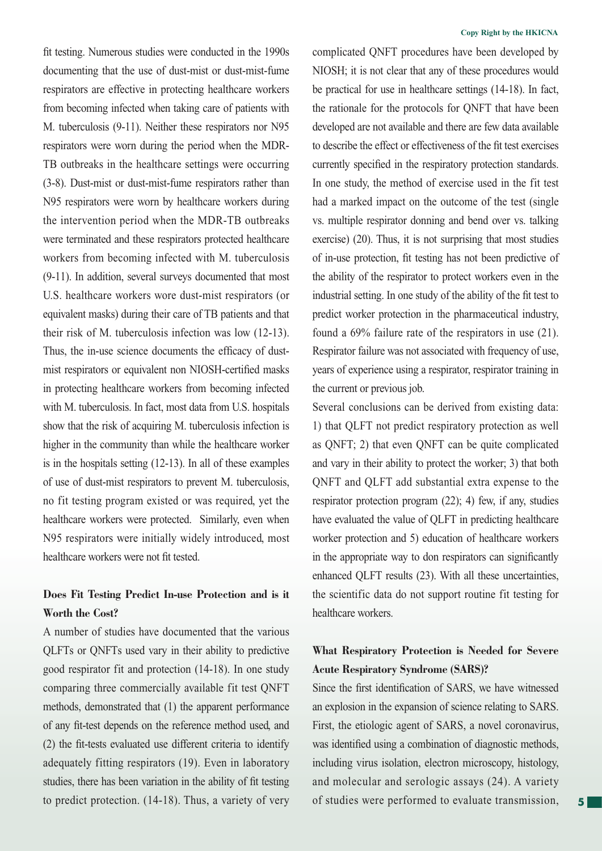fit testing. Numerous studies were conducted in the 1990s documenting that the use of dust-mist or dust-mist-fume respirators are effective in protecting healthcare workers from becoming infected when taking care of patients with M. tuberculosis (9-11). Neither these respirators nor N95 respirators were worn during the period when the MDR-TB outbreaks in the healthcare settings were occurring (3-8). Dust-mist or dust-mist-fume respirators rather than N95 respirators were worn by healthcare workers during the intervention period when the MDR-TB outbreaks were terminated and these respirators protected healthcare workers from becoming infected with M. tuberculosis (9-11). In addition, several surveys documented that most U.S. healthcare workers wore dust-mist respirators (or equivalent masks) during their care of TB patients and that their risk of M. tuberculosis infection was low (12-13). Thus, the in-use science documents the efficacy of dustmist respirators or equivalent non NIOSH-certified masks in protecting healthcare workers from becoming infected with M. tuberculosis. In fact, most data from U.S. hospitals show that the risk of acquiring M. tuberculosis infection is higher in the community than while the healthcare worker is in the hospitals setting (12-13). In all of these examples of use of dust-mist respirators to prevent M. tuberculosis, no fit testing program existed or was required, yet the healthcare workers were protected. Similarly, even when N95 respirators were initially widely introduced, most healthcare workers were not fit tested.

# **Does Fit Testing Predict In-use Protection and is it Worth the Cost?**

A number of studies have documented that the various QLFTs or QNFTs used vary in their ability to predictive good respirator fit and protection (14-18). In one study comparing three commercially available fit test QNFT methods, demonstrated that (1) the apparent performance of any fit-test depends on the reference method used, and  $(2)$  the fit-tests evaluated use different criteria to identify adequately fitting respirators (19). Even in laboratory studies, there has been variation in the ability of fit testing to predict protection. (14-18). Thus, a variety of very

### **Copy Right by the HKICNA**

complicated QNFT procedures have been developed by NIOSH; it is not clear that any of these procedures would be practical for use in healthcare settings (14-18). In fact, the rationale for the protocols for QNFT that have been developed are not available and there are few data available to describe the effect or effectiveness of the fit test exercises currently specified in the respiratory protection standards. In one study, the method of exercise used in the fit test had a marked impact on the outcome of the test (single vs. multiple respirator donning and bend over vs. talking exercise) (20). Thus, it is not surprising that most studies of in-use protection, fit testing has not been predictive of the ability of the respirator to protect workers even in the industrial setting. In one study of the ability of the fit test to predict worker protection in the pharmaceutical industry, found a 69% failure rate of the respirators in use (21). Respirator failure was not associated with frequency of use, years of experience using a respirator, respirator training in the current or previous job.

Several conclusions can be derived from existing data: 1) that QLFT not predict respiratory protection as well as QNFT; 2) that even QNFT can be quite complicated and vary in their ability to protect the worker; 3) that both QNFT and QLFT add substantial extra expense to the respirator protection program (22); 4) few, if any, studies have evaluated the value of QLFT in predicting healthcare worker protection and 5) education of healthcare workers in the appropriate way to don respirators can significantly enhanced QLFT results (23). With all these uncertainties, the scientific data do not support routine fit testing for healthcare workers.

# **What Respiratory Protection is Needed for Severe Acute Respiratory Syndrome (SARS)?**

Since the first identification of SARS, we have witnessed an explosion in the expansion of science relating to SARS. First, the etiologic agent of SARS, a novel coronavirus, was identified using a combination of diagnostic methods, including virus isolation, electron microscopy, histology, and molecular and serologic assays (24). A variety of studies were performed to evaluate transmission,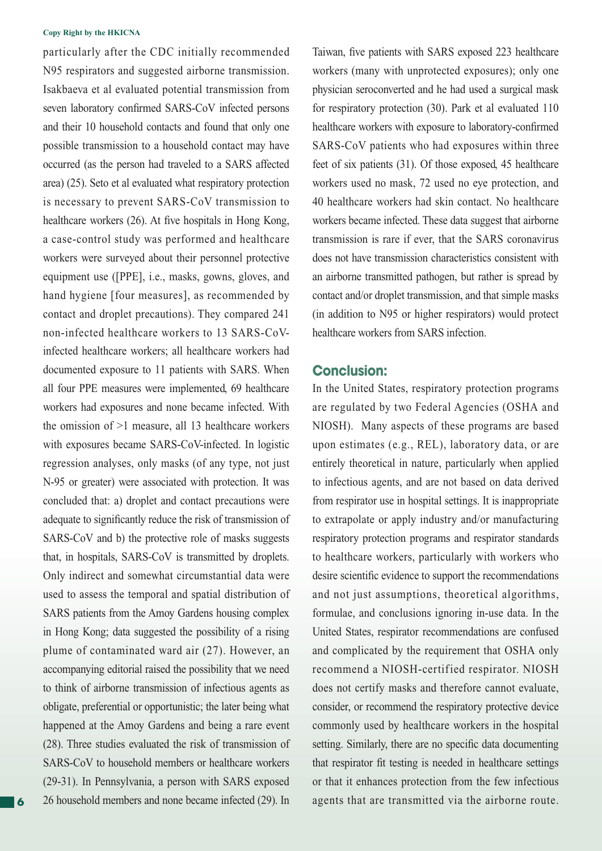particularly after the CDC initially recommended N95 respirators and suggested airborne transmission. Isakbaeva et al evaluated potential transmission from seven laboratory confirmed SARS-CoV infected persons and their 10 household contacts and found that only one possible transmission to a household contact may have occurred (as the person had traveled to a SARS affected area) (25). Seto et al evaluated what respiratory protection is necessary to prevent SARS-CoV transmission to healthcare workers (26). At five hospitals in Hong Kong, a case-control study was performed and healthcare workers were surveyed about their personnel protective equipment use ([PPE], i.e., masks, gowns, gloves, and hand hygiene [four measures], as recommended by contact and droplet precautions). They compared 241 non-infected healthcare workers to 13 SARS-CoVinfected healthcare workers; all healthcare workers had documented exposure to 11 patients with SARS. When all four PPE measures were implemented, 69 healthcare workers had exposures and none became infected. With the omission of >1 measure, all 13 healthcare workers with exposures became SARS-CoV-infected. In logistic regression analyses, only masks (of any type, not just N-95 or greater) were associated with protection. It was concluded that: a) droplet and contact precautions were adequate to significantly reduce the risk of transmission of SARS-CoV and b) the protective role of masks suggests that, in hospitals, SARS-CoV is transmitted by droplets. Only indirect and somewhat circumstantial data were used to assess the temporal and spatial distribution of SARS patients from the Amoy Gardens housing complex in Hong Kong; data suggested the possibility of a rising plume of contaminated ward air (27). However, an accompanying editorial raised the possibility that we need to think of airborne transmission of infectious agents as obligate, preferential or opportunistic; the later being what happened at the Amoy Gardens and being a rare event (28). Three studies evaluated the risk of transmission of SARS-CoV to household members or healthcare workers (29-31). In Pennsylvania, a person with SARS exposed 26 household members and none became infected (29). In

Taiwan, five patients with SARS exposed 223 healthcare workers (many with unprotected exposures); only one physician seroconverted and he had used a surgical mask for respiratory protection (30). Park et al evaluated 110 healthcare workers with exposure to laboratory-confirmed SARS-CoV patients who had exposures within three feet of six patients (31). Of those exposed, 45 healthcare workers used no mask, 72 used no eye protection, and 40 healthcare workers had skin contact. No healthcare workers became infected. These data suggest that airborne transmission is rare if ever, that the SARS coronavirus does not have transmission characteristics consistent with an airborne transmitted pathogen, but rather is spread by contact and/or droplet transmission, and that simple masks (in addition to N95 or higher respirators) would protect healthcare workers from SARS infection.

### **Conclusion:**

In the United States, respiratory protection programs are regulated by two Federal Agencies (OSHA and NIOSH). Many aspects of these programs are based upon estimates (e.g., REL), laboratory data, or are entirely theoretical in nature, particularly when applied to infectious agents, and are not based on data derived from respirator use in hospital settings. It is inappropriate to extrapolate or apply industry and/or manufacturing respiratory protection programs and respirator standards to healthcare workers, particularly with workers who desire scientific evidence to support the recommendations and not just assumptions, theoretical algorithms, formulae, and conclusions ignoring in-use data. In the United States, respirator recommendations are confused and complicated by the requirement that OSHA only recommend a NIOSH-certified respirator. NIOSH does not certify masks and therefore cannot evaluate, consider, or recommend the respiratory protective device commonly used by healthcare workers in the hospital setting. Similarly, there are no specific data documenting that respirator fit testing is needed in healthcare settings or that it enhances protection from the few infectious agents that are transmitted via the airborne route.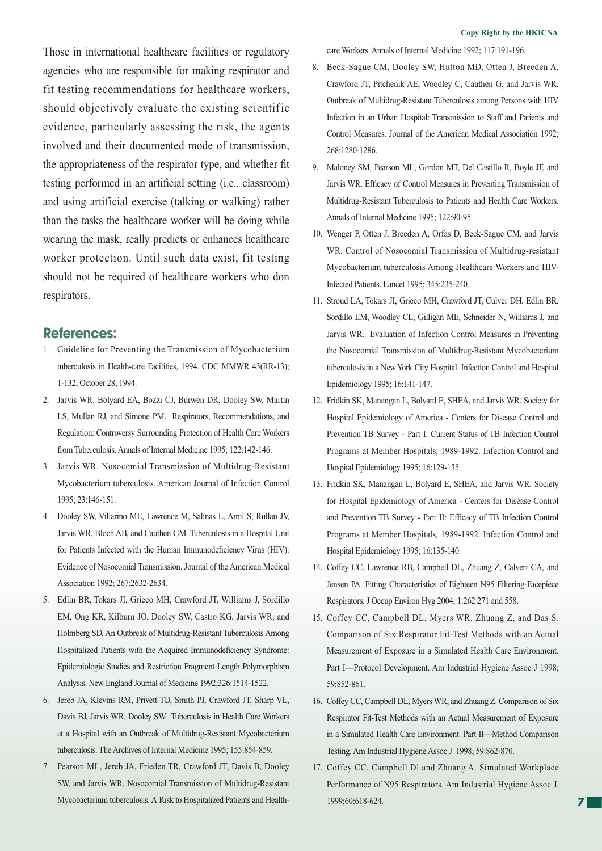Those in international healthcare facilities or regulatory agencies who are responsible for making respirator and fit testing recommendations for healthcare workers, should objectively evaluate the existing scientific evidence, particularly assessing the risk, the agents involved and their documented mode of transmission, the appropriateness of the respirator type, and whether fit testing performed in an artificial setting (i.e., classroom) and using artificial exercise (talking or walking) rather than the tasks the healthcare worker will be doing while wearing the mask, really predicts or enhances healthcare worker protection. Until such data exist, fit testing should not be required of healthcare workers who don respirators.

### **References:**

- 1. Guideline for Preventing the Transmission of Mycobacterium tuberculosis in Health-care Facilities, 1994. CDC MMWR 43(RR-13); 1-132, October 28, 1994.
- 2. Jarvis WR, Bolyard EA, Bozzi CJ, Burwen DR, Dooley SW, Martin LS, Mullan RJ, and Simone PM. Respirators, Recommendations, and Regulation: Controversy Surrounding Protection of Health Care Workers from Tuberculosis. Annals of Internal Medicine 1995; 122:142-146.
- 3. Jarvis WR. Nosocomial Transmission of Multidrug-Resistant Mycobacterium tuberculosis. American Journal of Infection Control 1995; 23:146-151.
- 4. Dooley SW, Villarino ME, Lawrence M, Salinas L, Amil S, Rullan JV, Jarvis WR, Bloch AB, and Cauthen GM. Tuberculosis in a Hospital Unit for Patients Infected with the Human Immunodeficiency Virus (HIV): Evidence of Nosocomial Transmission. Journal of the American Medical Association 1992; 267:2632-2634.
- 5. Edlin BR, Tokars JI, Grieco MH, Crawford JT, Williams J, Sordillo EM, Ong KR, Kilburn JO, Dooley SW, Castro KG, Jarvis WR, and Holmberg SD. An Outbreak of Multidrug-Resistant Tuberculosis Among Hospitalized Patients with the Acquired Immunodeficiency Syndrome: Epidemiologic Studies and Restriction Fragment Length Polymorphism Analysis. New England Journal of Medicine 1992;326:1514-1522.
- 6. Jereb JA, Klevins RM, Privett TD, Smith PJ, Crawford JT, Sharp VL, Davis BJ, Jarvis WR, Dooley SW. Tuberculosis in Health Care Workers at a Hospital with an Outbreak of Multidrug-Resistant Mycobacterium tuberculosis. The Archives of Internal Medicine 1995; 155:854-859.
- 7. Pearson ML, Jereb JA, Frieden TR, Crawford JT, Davis B, Dooley SW, and Jarvis WR. Nosocomial Transmission of Multidrug-Resistant Mycobacterium tuberculosis: A Risk to Hospitalized Patients and Health-

care Workers. Annals of Internal Medicine 1992; 117:191-196.

- 8. Beck-Sague CM, Dooley SW, Hutton MD, Otten J, Breeden A, Crawford JT, Pitchenik AE, Woodley C, Cauthen G, and Jarvis WR. Outbreak of Multidrug-Resistant Tuberculosis among Persons with HIV Infection in an Urban Hospital: Transmission to Staff and Patients and Control Measures. Journal of the American Medical Association 1992; 268:1280-1286.
- 9. Maloney SM, Pearson ML, Gordon MT, Del Castillo R, Boyle JF, and Jarvis WR. Efficacy of Control Measures in Preventing Transmission of Multidrug-Resistant Tuberculosis to Patients and Health Care Workers. Annals of Internal Medicine 1995; 122:90-95.
- 10. Wenger P, Otten J, Breeden A, Orfas D, Beck-Sague CM, and Jarvis WR. Control of Nosocomial Transmission of Multidrug-resistant Mycobacterium tuberculosis Among Healthcare Workers and HIV-Infected Patients. Lancet 1995; 345:235-240.
- 11. Stroud LA, Tokars JI, Grieco MH, Crawford JT, Culver DH, Edlin BR, Sordillo EM, Woodley CL, Gilligan ME, Schneider N, Williams J, and Jarvis WR. Evaluation of Infection Control Measures in Preventing the Nosocomial Transmission of Multidrug-Resistant Mycobacterium tuberculosis in a New York City Hospital. Infection Control and Hospital Epidemiology 1995; 16:141-147.
- 12. Fridkin SK, Manangan L, Bolyard E, SHEA, and Jarvis WR. Society for Hospital Epidemiology of America - Centers for Disease Control and Prevention TB Survey - Part I: Current Status of TB Infection Control Programs at Member Hospitals, 1989-1992. Infection Control and Hospital Epidemiology 1995; 16:129-135.
- 13. Fridkin SK, Manangan L, Bolyard E, SHEA, and Jarvis WR. Society for Hospital Epidemiology of America - Centers for Disease Control and Prevention TB Survey - Part II: Efficacy of TB Infection Control Programs at Member Hospitals, 1989-1992. Infection Control and Hospital Epidemiology 1995; 16:135-140.
- 14. Coffey CC, Lawrence RB, Campbell DL, Zhuang Z, Calvert CA, and Jensen PA. Fitting Characteristics of Eighteen N95 Filtering-Facepiece Respirators. J Occup Environ Hyg 2004; 1:262 271 and 558.
- 15. Coffey CC, Campbell DL, Myers WR, Zhuang Z, and Das S. Comparison of Six Respirator Fit-Test Methods with an Actual Measurement of Exposure in a Simulated Health Care Environment. Part I—Protocol Development. Am Industrial Hygiene Assoc J 1998; 59:852-861.
- 16. Coffey CC, Campbell DL, Myers WR, and Zhuang Z. Comparison of Six Respirator Fit-Test Methods with an Actual Measurement of Exposure in a Simulated Health Care Environment. Part II—Method Comparison Testing. Am Industrial Hygiene Assoc J 1998; 59:862-870.
- 17. Coffey CC, Campbell Dl and Zhuang A. Simulated Workplace Performance of N95 Respirators. Am Industrial Hygiene Assoc J. 1999;60:618-624.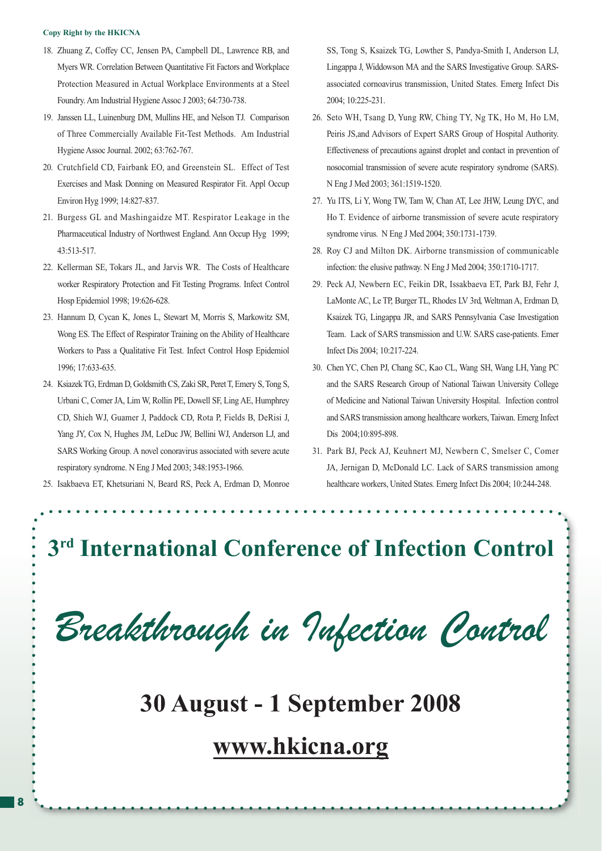- 18. Zhuang Z, Coffey CC, Jensen PA, Campbell DL, Lawrence RB, and Myers WR. Correlation Between Quantitative Fit Factors and Workplace Protection Measured in Actual Workplace Environments at a Steel Foundry. Am Industrial Hygiene Assoc J 2003; 64:730-738.
- 19. Janssen LL, Luinenburg DM, Mullins HE, and Nelson TJ. Comparison of Three Commercially Available Fit-Test Methods. Am Industrial Hygiene Assoc Journal. 2002; 63:762-767.
- 20. Crutchfield CD, Fairbank EO, and Greenstein SL. Effect of Test Exercises and Mask Donning on Measured Respirator Fit. Appl Occup Environ Hyg 1999; 14:827-837.
- 21. Burgess GL and Mashingaidze MT. Respirator Leakage in the Pharmaceutical Industry of Northwest England. Ann Occup Hyg 1999; 43:513-517.
- 22. Kellerman SE, Tokars JL, and Jarvis WR. The Costs of Healthcare worker Respiratory Protection and Fit Testing Programs. Infect Control Hosp Epidemiol 1998; 19:626-628.
- 23. Hannum D, Cycan K, Jones L, Stewart M, Morris S, Markowitz SM, Wong ES. The Effect of Respirator Training on the Ability of Healthcare Workers to Pass a Qualitative Fit Test. Infect Control Hosp Epidemiol 1996; 17:633-635.
- 24. Ksiazek TG, Erdman D, Goldsmith CS, Zaki SR, Peret T, Emery S, Tong S, Urbani C, Comer JA, Lim W, Rollin PE, Dowell SF, Ling AE, Humphrey CD, Shieh WJ, Guamer J, Paddock CD, Rota P, Fields B, DeRisi J, Yang JY, Cox N, Hughes JM, LeDuc JW, Bellini WJ, Anderson LJ, and SARS Working Group. A novel conoravirus associated with severe acute respiratory syndrome. N Eng J Med 2003; 348:1953-1966.
- 25. Isakbaeva ET, Khetsuriani N, Beard RS, Peck A, Erdman D, Monroe

SS, Tong S, Ksaizek TG, Lowther S, Pandya-Smith I, Anderson LJ, Lingappa J, Widdowson MA and the SARS Investigative Group. SARSassociated cornoavirus transmission, United States. Emerg Infect Dis 2004; 10:225-231.

- 26. Seto WH, Tsang D, Yung RW, Ching TY, Ng TK, Ho M, Ho LM, Peiris JS,and Advisors of Expert SARS Group of Hospital Authority. Effectiveness of precautions against droplet and contact in prevention of nosocomial transmission of severe acute respiratory syndrome (SARS). N Eng J Med 2003; 361:1519-1520.
- 27. Yu ITS, Li Y, Wong TW, Tam W, Chan AT, Lee JHW, Leung DYC, and Ho T. Evidence of airborne transmission of severe acute respiratory syndrome virus. N Eng J Med 2004; 350:1731-1739.
- 28. Roy CJ and Milton DK. Airborne transmission of communicable infection: the elusive pathway. N Eng J Med 2004; 350:1710-1717.
- 29. Peck AJ, Newbern EC, Feikin DR, Issakbaeva ET, Park BJ, Fehr J, LaMonte AC, Le TP, Burger TL, Rhodes LV 3rd, Weltman A, Erdman D, Ksaizek TG, Lingappa JR, and SARS Pennsylvania Case Investigation Team. Lack of SARS transmission and U.W. SARS case-patients. Emer Infect Dis 2004; 10:217-224.
- 30. Chen YC, Chen PJ, Chang SC, Kao CL, Wang SH, Wang LH, Yang PC and the SARS Research Group of National Taiwan University College of Medicine and National Taiwan University Hospital. Infection control and SARS transmission among healthcare workers, Taiwan. Emerg Infect Dis 2004;10:895-898.
- 31. Park BJ, Peck AJ, Keuhnert MJ, Newbern C, Smelser C, Comer JA, Jernigan D, McDonald LC. Lack of SARS transmission among healthcare workers, United States. Emerg Infect Dis 2004; 10:244-248.

# **3rd International Conference of Infection Control**

Breakthrough in Infection Control

# **30 August - 1 September 2008**

# **www.hkicna.org**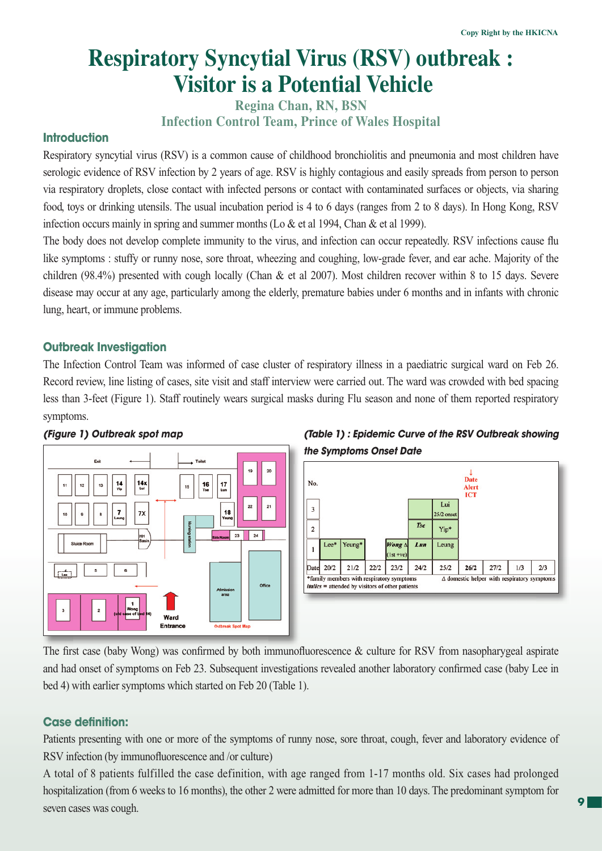# **Respiratory Syncytial Virus (RSV) outbreak : Visitor is a Potential Vehicle**

**Regina Chan, RN, BSN Infection Control Team, Prince of Wales Hospital**

### **Introduction**

Respiratory syncytial virus (RSV) is a common cause of childhood bronchiolitis and pneumonia and most children have serologic evidence of RSV infection by 2 years of age. RSV is highly contagious and easily spreads from person to person via respiratory droplets, close contact with infected persons or contact with contaminated surfaces or objects, via sharing food, toys or drinking utensils. The usual incubation period is 4 to 6 days (ranges from 2 to 8 days). In Hong Kong, RSV infection occurs mainly in spring and summer months (Lo & et al 1994, Chan & et al 1999).

The body does not develop complete immunity to the virus, and infection can occur repeatedly. RSV infections cause flu like symptoms : stuffy or runny nose, sore throat, wheezing and coughing, low-grade fever, and ear ache. Majority of the children (98.4%) presented with cough locally (Chan & et al 2007). Most children recover within 8 to 15 days. Severe disease may occur at any age, particularly among the elderly, premature babies under 6 months and in infants with chronic lung, heart, or immune problems.

### **Outbreak Investigation**

The Infection Control Team was informed of case cluster of respiratory illness in a paediatric surgical ward on Feb 26. Record review, line listing of cases, site visit and staff interview were carried out. The ward was crowded with bed spacing less than 3-feet (Figure 1). Staff routinely wears surgical masks during Flu season and none of them reported respiratory symptoms.







The first case (baby Wong) was confirmed by both immunofluorescence  $\&$  culture for RSV from nasopharygeal aspirate and had onset of symptoms on Feb 23. Subsequent investigations revealed another laboratory confirmed case (baby Lee in bed 4) with earlier symptoms which started on Feb 20 (Table 1).

### **Case definition:**

Patients presenting with one or more of the symptoms of runny nose, sore throat, cough, fever and laboratory evidence of RSV infection (by immunofluorescence and /or culture)

A total of 8 patients fulfilled the case definition, with age ranged from 1-17 months old. Six cases had prolonged hospitalization (from 6 weeks to 16 months), the other 2 were admitted for more than 10 days. The predominant symptom for seven cases was cough.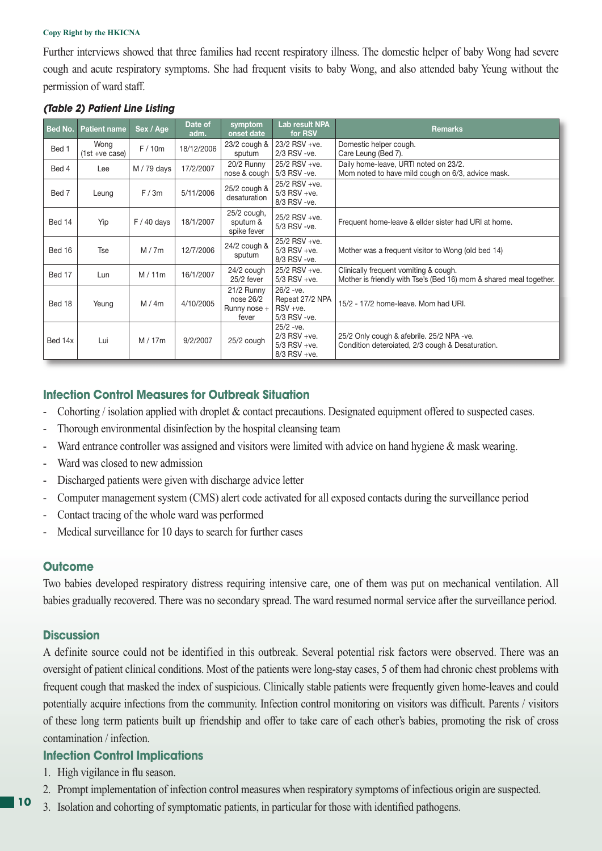Further interviews showed that three families had recent respiratory illness. The domestic helper of baby Wong had severe cough and acute respiratory symptoms. She had frequent visits to baby Wong, and also attended baby Yeung without the permission of ward staff.

| Bed No. | <b>Patient name</b>    | Sex / Age     | Date of<br>adm. | symptom<br>onset date                            | <b>Lab result NPA</b><br>for RSV                                  | <b>Remarks</b>                                                                                              |
|---------|------------------------|---------------|-----------------|--------------------------------------------------|-------------------------------------------------------------------|-------------------------------------------------------------------------------------------------------------|
| Bed 1   | Wong<br>(1st +ve case) | F/10m         | 18/12/2006      | $23/2$ cough $\&$<br>sputum                      | 23/2 RSV +ve.<br>2/3 RSV - ve.                                    | Domestic helper cough.<br>Care Leung (Bed 7).                                                               |
| Bed 4   | Lee                    | M / 79 days   | 17/2/2007       | 20/2 Runny<br>nose & cough                       | 25/2 RSV +ve.<br>5/3 RSV -ve.                                     | Daily home-leave, URTI noted on 23/2.<br>Mom noted to have mild cough on 6/3, advice mask.                  |
| Bed 7   | Leung                  | F/3m          | 5/11/2006       | 25/2 cough &<br>desaturation                     | 25/2 RSV +ve.<br>$5/3$ RSV +ve.<br>8/3 RSV -ve.                   |                                                                                                             |
| Bed 14  | Yip                    | $F / 40$ days | 18/1/2007       | 25/2 cough,<br>sputum &<br>spike fever           | 25/2 RSV +ve.<br>5/3 RSV -ve.                                     | Frequent home-leave & ellder sister had URI at home.                                                        |
| Bed 16  | <b>Tse</b>             | M/7m          | 12/7/2006       | 24/2 cough &<br>sputum                           | 25/2 RSV +ve.<br>$5/3$ RSV +ve.<br>8/3 RSV - ve.                  | Mother was a frequent visitor to Wong (old bed 14)                                                          |
| Bed 17  | Lun                    | M/11m         | 16/1/2007       | 24/2 cough<br>25/2 fever                         | 25/2 RSV +ve.<br>$5/3$ RSV +ve.                                   | Clinically frequent vomiting & cough.<br>Mother is friendly with Tse's (Bed 16) mom & shared meal together. |
| Bed 18  | Yeung                  | M/4m          | 4/10/2005       | 21/2 Runny<br>nose 26/2<br>Runny nose +<br>fever | $26/2 -ve.$<br>Repeat 27/2 NPA<br>$RSV + ve.$<br>5/3 RSV - ve.    | 15/2 - 17/2 home-leave. Mom had URI.                                                                        |
| Bed 14x | Lui                    | M/17m         | 9/2/2007        | 25/2 cough                                       | $25/2 -ve.$<br>$2/3$ RSV +ve.<br>$5/3$ RSV +ve.<br>$8/3$ RSV +ve. | 25/2 Only cough & afebrile. 25/2 NPA -ve.<br>Condition deteroiated, 2/3 cough & Desaturation.               |

### *(Table 2) Patient Line Listing*

## **Infection Control Measures for Outbreak Situation**

- Cohorting / isolation applied with droplet & contact precautions. Designated equipment offered to suspected cases.
- Thorough environmental disinfection by the hospital cleansing team
- Ward entrance controller was assigned and visitors were limited with advice on hand hygiene & mask wearing.
- Ward was closed to new admission
- Discharged patients were given with discharge advice letter
- Computer management system (CMS) alert code activated for all exposed contacts during the surveillance period
- Contact tracing of the whole ward was performed
- Medical surveillance for 10 days to search for further cases

### **Outcome**

Two babies developed respiratory distress requiring intensive care, one of them was put on mechanical ventilation. All babies gradually recovered. There was no secondary spread. The ward resumed normal service after the surveillance period.

### **Discussion**

A definite source could not be identified in this outbreak. Several potential risk factors were observed. There was an oversight of patient clinical conditions. Most of the patients were long-stay cases, 5 of them had chronic chest problems with frequent cough that masked the index of suspicious. Clinically stable patients were frequently given home-leaves and could potentially acquire infections from the community. Infection control monitoring on visitors was difficult. Parents / visitors of these long term patients built up friendship and offer to take care of each other's babies, promoting the risk of cross contamination / infection.

### **Infection Control Implications**

- 1. High vigilance in flu season.
- 2. Prompt implementation of infection control measures when respiratory symptoms of infectious origin are suspected.
- 3. Isolation and cohorting of symptomatic patients, in particular for those with identified pathogens.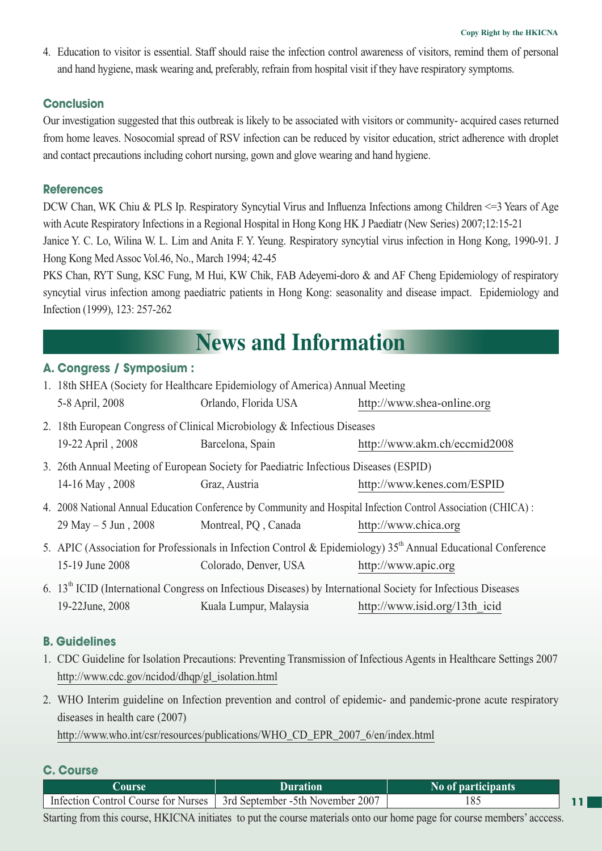4. Education to visitor is essential. Staff should raise the infection control awareness of visitors, remind them of personal and hand hygiene, mask wearing and, preferably, refrain from hospital visit if they have respiratory symptoms.

### **Conclusion**

Our investigation suggested that this outbreak is likely to be associated with visitors or community- acquired cases returned from home leaves. Nosocomial spread of RSV infection can be reduced by visitor education, strict adherence with droplet and contact precautions including cohort nursing, gown and glove wearing and hand hygiene.

### **References**

DCW Chan, WK Chiu & PLS Ip. Respiratory Syncytial Virus and Influenza Infections among Children <=3 Years of Age with Acute Respiratory Infections in a Regional Hospital in Hong Kong HK J Paediatr (New Series) 2007;12:15-21 Janice Y. C. Lo, Wilina W. L. Lim and Anita F. Y. Yeung. Respiratory syncytial virus infection in Hong Kong, 1990-91. J Hong Kong Med Assoc Vol.46, No., March 1994; 42-45

PKS Chan, RYT Sung, KSC Fung, M Hui, KW Chik, FAB Adeyemi-doro & and AF Cheng Epidemiology of respiratory syncytial virus infection among paediatric patients in Hong Kong: seasonality and disease impact. Epidemiology and Infection (1999), 123: 257-262

# **News and Information**

### **A. Congress / Symposium :**

| 1. 18th SHEA (Society for Healthcare Epidemiology of America) Annual Meeting                                  |                       |                                                                                                                            |  |  |  |
|---------------------------------------------------------------------------------------------------------------|-----------------------|----------------------------------------------------------------------------------------------------------------------------|--|--|--|
| 5-8 April, 2008                                                                                               | Orlando, Florida USA  | http://www.shea-online.org                                                                                                 |  |  |  |
| 2. 18th European Congress of Clinical Microbiology & Infectious Diseases                                      |                       |                                                                                                                            |  |  |  |
| 19-22 April, 2008                                                                                             | Barcelona, Spain      | http://www.akm.ch/eccmid2008                                                                                               |  |  |  |
| 3. 26th Annual Meeting of European Society for Paediatric Infectious Diseases (ESPID)                         |                       |                                                                                                                            |  |  |  |
| 14-16 May, 2008                                                                                               | Graz, Austria         | http://www.kenes.com/ESPID                                                                                                 |  |  |  |
| 4. 2008 National Annual Education Conference by Community and Hospital Infection Control Association (CHICA): |                       |                                                                                                                            |  |  |  |
| 29 May – 5 Jun, 2008                                                                                          | Montreal, PQ, Canada  | http://www.chica.org                                                                                                       |  |  |  |
|                                                                                                               |                       | 5. APIC (Association for Professionals in Infection Control & Epidemiology) 35 <sup>th</sup> Annual Educational Conference |  |  |  |
| 15-19 June 2008                                                                                               | Colorado, Denver, USA | http://www.apic.org                                                                                                        |  |  |  |
|                                                                                                               |                       | 6. $13th$ ICID (International Congress on Infectious Diseases) by International Society for Infectious Diseases            |  |  |  |

### **B. Guidelines**

1. CDC Guideline for Isolation Precautions: Preventing Transmission of Infectious Agents in Healthcare Settings 2007 http://www.cdc.gov/ncidod/dhqp/gl\_isolation.html

19-22June, 2008 Kuala Lumpur, Malaysia http://www.isid.org/13th\_icid

2. WHO Interim guideline on Infection prevention and control of epidemic- and pandemic-prone acute respiratory diseases in health care (2007)

http://www.who.int/csr/resources/publications/WHO\_CD\_EPR\_2007\_6/en/index.html

### **C. Course**

| <b>Course</b>                       | Duration                                      | No of participants |  |
|-------------------------------------|-----------------------------------------------|--------------------|--|
| Infection Control Course for Nurses | <sup>1</sup> 3rd September -5th November 2007 | 185                |  |

Starting from this course, HKICNA initiates to put the course materials onto our home page for course members' acccess.